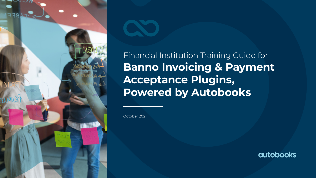

Financial Institution Training Guide for **Banno Invoicing & Payment Acceptance Plugins, Powered by Autobooks**

October 2021

**autobooks**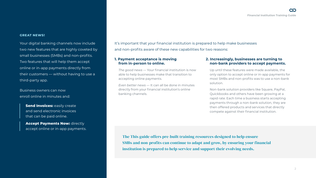#### **GREAT NEWS!**

Your digital banking channels now include two new features that are highly coveted by small businesses (SMBs) and non-profits. Two features that will help them accept online or in-app payments directly from their customers — without having to use a third-party app.

Business owners can now enroll online in minutes and:

> **Send Invoices: easily create** and send electronic invoices that can be paid online.

**Accept Payments Now: directly** accept online or in-app payments. It's important that your financial institution is prepared to help make businesses and non-profits aware of these new capabilities for two reasons:

#### **1. Payment acceptance is moving from in-person to online.**

*The good news* — Your financial institution is now able to help businesses make that transition to accepting online payments.

*Even better news* — It can all be done in minutes directly from your financial institution's online banking channels.

#### **2. Increasingly, businesses are turning to non-bank providers to accept payments.**

Up until these features were made available, the only option to accept online or in-app payments for most SMBs and non-profits was to use a non-bank solution.

Non-bank solution providers like Square, PayPal, Quickbooks and others have been growing at a rapid rate. Each time a business starts accepting payments through a non-bank solution, they are then offered products and services that directly compete against their financial institution.

The This guide offers pre-built training resources designed to help ensure SMBs and non-profits can continue to adapt and grow, by ensuring your financial institution is prepared to help service and support their evolving needs.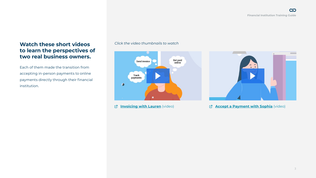## **Watch these short videos to learn the perspectives of two real business owners.**

Each of them made the transition from accepting in-person payments to online payments directly through their financial institution.

### *Click the video thumbnails to watch*



*[Invoicing with Lauren](https://content.autobooks.co/hubfs/Partner Microsites/JHA Banno Microsite/Launch Resources/Invoice Video - Final Cut (1).mp4?hsLang=en-us) (video)* 



**[Accept a Payment with Sophia](https://content.autobooks.co/hubfs/Partner%20Microsites/JHA%20Banno%20Microsite/Launch%20Resources/Payment%20Form%20with%20Autobooks%20-%20Cartoon.mp4?hsLang=en-us)** (video)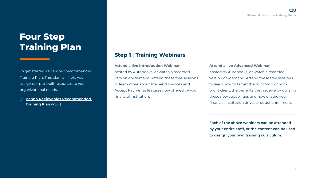# **Four Step Training Plan**

To get started, review our recommended Training Plan. This plan will help you assign our pre-built resources to your organizational needs.

**[Banno Recievables Recommended](https://content.autobooks.co/hubfs/Banno%20Recievables%20Recommended%20Training%20Plan.pdf)  [Training Plan](https://content.autobooks.co/hubfs/Banno%20Recievables%20Recommended%20Training%20Plan.pdf)** (PDF)

### **Step 1** | **Training Webinars**

**Attend a live Introduction Webinar** hosted by Autobooks, or watch a recorded version on-demand. Attend these free sessions to learn more about the Send Invoices and Accept Payments features now offered by your financial institution.

#### **Attend a live Advanced Webinar**

hosted by Autobooks, or watch a recorded version on-demand. Attend these free sessions to learn how to target the right SMB or nonprofit client, the benefits they receive by utilizing these new capabilities and how ensure your financial institution drives product enrollment.

**Each of the above webinars can be attended by your entire staff, or the content can be used to design your own training curriculum.**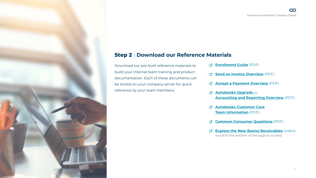### **Step 2** | **Download our Reference Materials**

Download our pre-built reference materials to build your internal team training and product documentation. Each of these documents can be stored on your company server for quick reference by your team members.

- **[Enrollment Guide](https://content.autobooks.co/hubfs/Partner Microsites/JHA Banno Microsite/Files for Download/Enrollment Process for Small Business Banno.pdf?hsLang=en-us)** (PDF)
- **[Send an Invoice Overview](https://content.autobooks.co/hubfs/migrated/_Training Team/Banno Send Invoices Product Page.pdf?hsLang=en-us)** (PDF)
- **[Accept a Payment Overview](https://content.autobooks.co/hubfs/migrated/_Training Team/Banno Accept Payments Now Product Page.pdf?hsLang=en-us)** (PDF)
- **[Autobooks Upgrade —](https://content.autobooks.co/hubfs/Accounting and Reporting Product Page.pdf?hsLang=en-us) [Accounting and Reporting Overview](https://content.autobooks.co/hubfs/Accounting and Reporting Product Page.pdf?hsLang=en-us)** (PDF)
- **[Autobooks Customer Care](https://content.autobooks.co/hubfs/Autobooks Customer Care Support Hours and SLAs.pdf?hsLang=en-us) [Team Information](https://content.autobooks.co/hubfs/Autobooks Customer Care Support Hours and SLAs.pdf?hsLang=en-us)** (PDF)
- **[Common Consumer Questions](https://content.autobooks.co/hubfs/Send Invoice_Accept Payments Common Consumer Questions.pdf?hsLang=en-us)** (PDF)
- **[Explore the New Banno Receivables](https://learn.autobooks.co/banno-training-page-signup-2021?hsLang=en-us)** (video) (scroll to the bottom of the page to access)